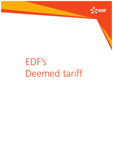

# EDF's Deemed tariff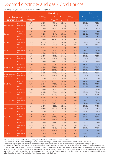# Deemed electricity and gas - Credit prices

Electricity and gas credit prices are effective from 1 April 2022.

|                               |                     |                                                | <b>Electricity</b> | Gas                                             |                    |                    |                                        |                    |
|-------------------------------|---------------------|------------------------------------------------|--------------------|-------------------------------------------------|--------------------|--------------------|----------------------------------------|--------------------|
| Supply area and               |                     | Standard meter <sup>2</sup> electricity prices |                    | Economy 7 meter <sup>3</sup> electricity prices |                    |                    | Standard meter <sup>2</sup> gas prices |                    |
| payment method                |                     | Daily standing<br>charge <sup>1</sup>          | Unit rate (kWh)    | <b>Daily standing</b><br>charge <sup>1</sup>    | Day rate (kWh)     | Night rate (kWh)   | Daily standing charge <sup>1</sup>     | Unit rate (kWh)    |
| East Midlands                 | <b>Direct Debit</b> | 44.75p                                         | 27.63p             | 44.84p                                          | 35.28p             | 13.40 <sub>p</sub> | 27.22p                                 | 7.282p             |
|                               | Cash/Cheque         | 50.53p                                         | 29.10p             | 50.61 <sub>p</sub>                              | 37.15p             | 14.12p             | 32.03p                                 | 7.671p             |
|                               | <b>PAYG</b>         | 49.68p                                         | 27.40p             | 49.77p                                          | 34.44p             | 14.11p             | 37.28p                                 | 7.277p             |
|                               | <b>Direct Debit</b> | 37.92p                                         | 29.24p             | 38.00p                                          | 35.35p             | 16.26p             | 27.22p                                 | 7.344p             |
| Eastern                       | Cash/Cheque         | 43.34p                                         | 30.80p             | 43.41 <sub>p</sub>                              | 37.32p             | 16.98p             | 32.03p                                 | 7.736p             |
|                               | <b>PAYG</b>         | 42.89p                                         | 29.00p             | 42.97p                                          | 36.70p             | 13.91p             | 37.28p                                 | 7.371p             |
| London                        | <b>Direct Debit</b> | 32.15p                                         | 29.64p             | 32.23p                                          | 34.38p             | 18.55p             | 27.22p                                 | 7.517p             |
|                               | Cash/Cheque         | 37.25p                                         | 31.21p             | 37.33p                                          | 36.78p             | 18.74p             | 32.03p                                 | 7.919p             |
|                               | <b>PAYG</b>         | 37.13p                                         | 29.39p             | 37.23p                                          | 35.63p             | 16.32p             | 37.28p                                 | 7.491 <sub>p</sub> |
|                               | <b>Direct Debit</b> | 48.13p                                         | 27.86p             | 48.21p                                          | 32.83p             | 17.40p             | 27.22p                                 | 7.367p             |
| Midlands                      | Cash/Cheque         | 54.10p                                         | 29.35p             | 54.17p                                          | 34.57p             | 18.32p             | 32.03p                                 | 7.760p             |
|                               | <b>PAYG</b>         | 53.05p                                         | 27.63p             | 53.13p                                          | 34.57p             | 14.52p             | 37.28p                                 | 7.346p             |
|                               | <b>Direct Debit</b> | 48.91p                                         | 27.09p             | 49.00p                                          | 31.78p             | 17.16p             | 27.22p                                 | 7.226p             |
| <b>North East</b>             | Cash/Cheque         | 54.92p                                         | 28.53p             | 55.00p                                          | 33.09p             | 18.57p             | 32.03p                                 | 7.611p             |
|                               | <b>PAYG</b>         | 53.83p                                         | 26.86p             | 53.92p                                          | 33.09p             | 14.88p             | 37.28p                                 | 7.258p             |
| <b>North Scotland</b>         | <b>Direct Debit</b> | 50.06p                                         | 27.90p             | 50.14p                                          | 32.40 <sub>p</sub> | 18.32p             | 27.22p                                 | 7.337p             |
|                               | Cash/Cheque         | 56.13p                                         | 29.39p             | 56.20p                                          | 32.69p             | 21.25p             | 32.03p                                 | 7.727p             |
|                               | <b>PAYG</b>         | 54.96p                                         | 27.67p             | 55.06p                                          | 32.69p             | 17.43p             | 37.28p                                 | 7.336p             |
|                               | Direct Debit        | 47.58p                                         | 29.58p             | 47.66p                                          | 34.71p             | 18.04p             | 27.22p                                 | 7.365p             |
| North Wales and<br>Merseyside | Cash/Cheque         | 53.51p                                         | 31.16p             | 53.60p                                          | 36.82p             | 18.62p             | 32.03p                                 | 7.758p             |
|                               | <b>PAYG</b>         | 52.50p                                         | 29.34p             | 52.59p                                          | 36.36p             | 15.27p             | 37.28p                                 | 7.328p             |
|                               | <b>Direct Debit</b> | 42.25p                                         | 28.02p             | 42.33p                                          | 32.58p             | 17.92p             | 27.22p                                 | 7.343p             |
| North West                    | Cash/Cheque         | 47.90p                                         | 29.51p             | 47.97p                                          | 34.12p             | 19.10 <sub>p</sub> | 32.03p                                 | 7.735p             |
|                               | <b>PAYG</b>         | 47.19p                                         | 27.79p             | 47.28p                                          | 33.98p             | 15.48p             | 37.28p                                 | 7.323p             |
|                               | <b>Direct Debit</b> | 41.66p                                         | 29.49p             | 41.75p                                          | 37.20p             | 14.14p             | 27.22p                                 | 7.319p             |
| South East                    | Cash/Cheque         | 47.29p                                         | 31.05p             | 47.36p                                          | 39.17 <sub>p</sub> | 14.88p             | 32.03p                                 | 7.710p             |
|                               | <b>PAYG</b>         | 46.61p                                         | 29.25p             | 46.70p                                          | 37.21p             | 13.64 <sub>p</sub> | 37.28p                                 | 7.308p             |
| South Scotland                | Direct Debit        | 49.65p                                         | 27.84p             | 49.73p                                          | 31.74p             | 18.73p             | 27.22p                                 | 7.336p             |
|                               | Cash/Cheque         | 55.70p                                         | 29.32p             | 55.77p                                          | 33.36p             | 19.80p             | 32.03p                                 | 7.727p             |
|                               | <b>PAYG</b>         | 54.55p                                         | 27.61p             | 54.65p                                          | 33.36p             | 16.02p             | 37.28p                                 | 7.335p             |
| South Wales                   | Direct Debit        | 48.15p                                         | 28.29p             | 48.23p                                          | 33.59p             | 17.13p             | 27.22p                                 | 7.444p             |
|                               | Cash/Cheque         | 54.12p                                         | 29.79p             | 54.20p                                          | 35.35p             | 18.08p             | 32.03p                                 | 7.841p             |
|                               | <b>PAYG</b>         | 53.06p                                         | 28.05p             | 53.16p                                          | 35.35p             | 14.24p             | 37.28p                                 | 7.382p             |
| South West                    | Direct Debit        | 51.62p                                         | 28.41p             | 51.71p                                          | 33.09p             | 17.83p             | 27.22p                                 | 7.476p             |
|                               | Cash/Cheque         | 57.79p                                         | 29.92p             | 57.86p                                          | 35.00p             | 18.57p             | 32.03p                                 | 7.875p             |
|                               | <b>PAYG</b>         | 56.53p                                         | 28.18p             | 56.62p                                          | 34.83p             | 14.96p             | 37.28p                                 | 7.488p             |
| Southern                      | Direct Debit        | 43.39p                                         | 28.46p             | 43.49p                                          | 33.20p             | 17.93p             | 27.22p                                 | 7.480p             |
|                               | Cash/Cheque         | 49.10p                                         | 29.97p             | 49.19p                                          | 34.77p             | 19.13p             | 32.03p                                 | 7.879p             |
|                               | <b>PAYG</b>         | 48.34p                                         | 28.22p             | 48.43p                                          | 34.77p             | 15.27p             | 37.28p                                 | 7.460p             |
| Yorkshire                     | <b>Direct Debit</b> | 48.53p                                         | 27.36p             | 48.61p                                          | 31.56p             | 18.10p             | 27.22p                                 | 7.280p             |
|                               | Cash/Cheque         | 54.52p                                         | 28.82p             | 54.59p                                          | 33.41p             | 18.81p             | 32.03p                                 | 7.669p             |
|                               | <b>PAYG</b>         | 53.44p                                         | 27.13p             | 53.53p                                          | 33.41p             | 15.08p             | 37.28p                                 | 7.291p             |

\*DD prices cover - Monthly Fixed Direct Debit, Monthly Variable Direct Debit and Quarterly Variable Direct Debit

\*\*CC prices cover - Monthly Fixed Cash/Cheque, Monthly Variable Cash/Cheque, Quarterly Fixed Cash/Cheque and Quarterly Variable Cash/Cheque<br>1 The daily standing charges (where shown) are due each day and per meter whether

<sup>2</sup> Standard meter - This is the most common type of meter for electricity and gas. These meters display your consumption either using a mechanical clock, digital display or dial.  $^3$  Economy7 meter - Also known as E7, this is a two-rate meter for electricity (day and night - providing a cheaper rate seven hours a night which can provide savings on your account). These meters are often installed in properties without a gas connection and so the heating and hot-water supplies depend on electricity (for example, storage heaters). Night kWh will be supplied for a total of seven hours, typically between 10pm and 8am (actual times set by the local network operator and can be found on your bill) and these will be charged at the night kWh rate. All other kWh will be charged at the day kWh rate.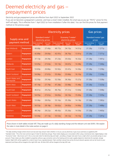# Deemed electricity and gas – prepayment prices

Electricity and gas prepayment prices are effective from April 2022 to September 2022 If you are (or become) a prepayment customer, and have a smart meter installed, the smart pay as you go "PAYG" prices for this tariff will apply. This is effective from 1 April 2022 (or from installation if after this date). You can find the prices for that payment method on the previous page.

|                                   |                   |                                                   | <b>Electricity prices</b> | <b>Gas prices</b>                                  |                   |                     |                                           |                    |
|-----------------------------------|-------------------|---------------------------------------------------|---------------------------|----------------------------------------------------|-------------------|---------------------|-------------------------------------------|--------------------|
| Supply area and<br>payment method |                   | Standard meter <sup>2</sup><br>electricity prices |                           | Economy 7 meter <sup>3</sup><br>electricity prices |                   |                     | Standard meter <sup>2</sup> gas<br>prices |                    |
|                                   |                   | <b>Daily standing</b><br>charge <sup>1</sup>      | Unit rate<br>(kWh)        | Daily standing<br>charge <sup>1</sup>              | Day rate<br>(kWh) | Night rate<br>(kWh) | Daily standing<br>charge <sup>1</sup>     | Unit rate<br>(kWh) |
| <b>East Midlands</b>              | Prepayment        | 49.68p                                            | 27.40p                    | 49.77p                                             | 34.15p            | 14.51p              | 37.28p                                    | 7.277p             |
| Eastern                           | <b>Prepayment</b> | 42.89p                                            | 29.00p                    | 42.97p                                             | 36.70p            | 13.91p              | 37.28p                                    | 7.371p             |
| London                            | <b>Prepayment</b> | 37.13p                                            | 29.39p                    | 37.23p                                             | 35.63p            | 16.32p              | 37.28p                                    | 7.491p             |
| <b>Midlands</b>                   | Prepayment        | 53.05p                                            | 27.63p                    | 53.13p                                             | 34.67p            | 14.38p              | 37.28p                                    | 7.346p             |
| <b>North East</b>                 | <b>Prepayment</b> | 53.83p                                            | 26.86p                    | 53.92p                                             | 33.47p            | 14.36p              | 37.28p                                    | 7.258p             |
| North Scotland                    | <b>Prepayment</b> | 54.96p                                            | 27.67p                    | 55.06p                                             | 33.66p            | 16.10p              | 37.28p                                    | 7.336p             |
| North Wales and<br>Merseyside     | <b>Prepayment</b> | 52.50p                                            | 29.34p                    | 52.59p                                             | 36.36p            | 15.27p              | 37.28p                                    | 7.328p             |
| North West                        | Prepayment        | 47.19p                                            | 27.79p                    | 47.28p                                             | 33.98p            | 15.48p              | 37.28p                                    | 7.323p             |
| South East                        | <b>Prepayment</b> | 46.61p                                            | 29.25p                    | 46.70p                                             | 37.21p            | 13.64p              | 37.28p                                    | 7.308p             |
| South Scotland                    | Prepayment        | 54.55p                                            | 27.61p                    | 54.65p                                             | 34.10p            | 15.00p              | 37.28p                                    | 7.335p             |
| South Wales                       | Prepayment        | 53.06p                                            | 28.05p                    | 53.16p                                             | 35.39p            | 14.18p              | 37.28p                                    | 7.382p             |
| South West                        | <b>Prepayment</b> | 56.53p                                            | 28.18p                    | 56.62p                                             | 34.83p            | 14.96p              | 37.28p                                    | 7.488p             |
| Southern                          | Prepayment        | 48.34p                                            | 28.22p                    | 48.43p                                             | 35.26p            | 14.59p              | 37.28p                                    | 7.460p             |
| Yorkshire                         | Prepayment        | 53.44p                                            | 27.13p                    | 53.53p                                             | 34.12p            | 14.10p              | 37.28p                                    | 7.291p             |

Prices shown in both tables include VAT. They are made up of a daily standing charge and the relevant unit rate (kWh). We explain the rates in more detail in the notes section on page 4.

<sup>1</sup> The daily standing charges (where shown) are due each day and per meter whether or not you use any electricity or gas at your premises as supplied by EDF.

<sup>&</sup>lt;sup>2</sup> Standard meter - This is the most common type of meter for electricity and gas. These meters display your consumption either using a mechanical clock, digital display or dial.  $^3$  Economy7 meter - Also known as E7, this is a two-rate meter for electricity (day and night - providing a cheaper rate seven hours a night which can provide savings on your account). These meters are often installed in properties without a gas connection and so the heating and hot-water supplies depend on electricity (for example, storage heaters). Night kWh will be supplied for a total of seven hours, typically between 10pm and 8am (actual times set by the local network operator and can be found on your statement) and these will be charged at the night kWh rate. All other kWh will be charged at the day kWh rate.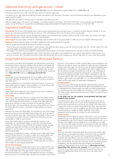### Deemed electricity and gas prices - notes

For further details on the tariff, please call us on 0333 200 5100. If you are a prepayment customer, please call us on 0333 200 5110.

To find your electricity prices, look in the left hand column to find your supply area.

The columns to the right allow you to identify the meter that applies to you (Standard or Economy 7) and find the prices relevant to you depending on your chosen payment method.

Your gas prices are shown in the blue column to the right of the electricity prices.

Different charges apply in the case of SoLR (Supplier of Last Resort) direction from Ofgem, which we will have sent to you at the time we are directed to supply. You can find these on our website at my.edfenergy.com/gas-electricity/tariff-information-labels or by calling us on 0333 200 5100

### Payment methods

Direct Debit: This is one of the cheapest ways to pay for your energy because your unit rate is lower in comparison to other payment methods. If, for any reason, you stop paying by Direct Debit we can move you onto cash/cheque or Pay As You Go prices, which may be higher.

Pay As You Go: Pay as you go is a quick and easy way to pay for your energy and means paying in advance through a smart meter. You can pay on the app, online via My Account, in-store with a top up card or over the phone.

**Cash/Cheque:** You pay a higher unit rate for Cash/Cheque than for Direct Debit. If you pay by Debit or Credit card, you are charged Cash/Cheque prices.

**Prepayment:** Means paying in advance through a Prepayment meter using a prepayment key/card.

A full list of payment methods can be found on the back of your bill.

- Some of these prices have been rounded. In some instances, more decimals may be shown on your bill. Prices are shown 'with VAT'. We will charge VAT at the rate which applies for residential energy supplies. This is currently 5%.
- The charges in this leaflet are only available for supplying electricity and gas to continuously occupied premises used only or mainly for domestic purposes.
- If you are responsible for making payments under a Green Deal Plan, we will collect those payments from you using the same payment method as you use to pay for your energy. We'll only collect Green Deal charges that become due after we start supplying you, and we'll pass them on to your Green Deal provider.

## Important information (Principal Terms)

We've tried to summarise what we believe to be the key terms, but they're all important and you may have a different view of what is most significant to you. That's why it's important you read our full terms and conditions and let us know if you have any questions. We'll send updated copies at least once every 12 months but you can request a copy at any time by contacting us on **0333 200 5100** or going to **edfenergy.com/tariff-info**

#### **Charges**

The charges for your energy supply are set out on pages 2 and 3. You are ultimately responsible for payments for any charges incurred in accordance with these terms.

By being supplied by us on this deemed supply terms means: if you do not have a smart meter you agree to have one fitted, or, if you decide you don't want one installed, you can opt out by letting us know.

#### **Closure**

These charges are variable and can be changed at any time in accordance with Clause 3 of your deemed supply terms.

#### **Direct Debit**

If you want to pay for your electricity or gas by a fixed direct debit, we first need to agree the initial fixed amount needed to cover your annual energy costs. We'll review this amount within 12 months of the direct debit first being set up, and then on every anniversary of that date (the 'annual DD review date'). We may sometimes carry out a review before your annual DD review date (for example, if we receive a meter reading), but this isn't guaranteed.

Whenever we review your direct debit, we'll estimate the cost of the energy you will use (that is, your 'estimated annual energy cost') up to the date of the next annual DD review date. This estimate will be based on the amount of energy you have used in the past, energy prices at the time, and any existing debt or credit on your account.

If your direct debit needs to increase or decrease by more than a set percentage (our 'specified percentage') to cover your estimated annual energy cost, we'll let you know and make the necessary changes. To avoid changing your payments too often, we won't adjust your direct debit payment if it would result in an increase or decrease of less than our specified percentage.

Once we've completed your review, if we have an up to date meter reading and we find your account is in credit or in debit, we'll usually update your monthly payment amount to spread the balance across the following 12 payments. In exceptional circumstances we may collect the full debit amount you owe from your bank account. In these cases we'll try to get in touch at least 12 working days beforehand.

#### **PAY AS YOU GO RULES**

Pay as you go is a quick and easy way to pay for your energy and the smart way to budget and keep track of your energy and is exclusive to customers with a smart meter. Pay on the app, online, in-store or over the phone. We recommend that if you prefer to make payments like this, low balance alerts are set up for one or both fuels. The alerts sent by SMS or email will let

you know if your balance for either fuel goes below a pre-set threshold. Just make sure you keep an eye on your balance to make sure you've always got credit to cover your usage. You can set up your low balance threshold using the EDF App or in MyAccount. A low balance alert will be triggered when the fuel reaches the balance threshold you've set up. If you choose pay as you go as your payment method, this will operate in accordance with our 'Pay As You Go Explained' leaflet, which contains information on auto top up and low balance alert and is available at edfenergy.com/paygpolicy or to request a copy contact us on 0333 009 7111. For more information on how these functions work please visit edfenergy.com/paygpolicy.

#### **RECONCILIATION**

From time to time there may be discrepancies between PAYG customers' meter(s) and their account. EDF reserves the right to refund/deduct any over or underpayment for energy charges and make any metering adjustments. You should always check your balance and ensure your account is topped up with credit, as your meters could self-disconnect if there's no credit and you'll run out of power.

#### **IF YOU DON'T PAY AS YOU AGREED, YOUR PAYMENT METHOD AND CHARGES MAY CHANGE**

If you don't pay our bills in the way we've agreed, we can switch you to another payment method (which could involve changing your meter too) and this may increase the price you pay for your energy. If this means we fit a prepayment meter you may be responsible for the costs, which we'll tell you about at the time. If you're struggling, you can pay through deductions to social security you receive, by regular instalments or by using a prepayment meter (provided we consider this safe and practical).

#### **Supply Contract**

Because you have not signed an express contract with us you are currently supplied on one of our deemed contracts. Your deemed contract will end if you subsequently enter into an express energy-supply agreement with us, on the date a new supplier starts to supply you or on the date you no longer own, rent or use the supply (provided we have received at least two working days' notice from you of this). Further details on this are included in Clause 4 of your deemed contract terms.

#### **Terms**

Whilst we have tried to summarise above the terms that we believe might reasonably be of most significant impact, all the terms within our deemed terms and conditions are important and we appreciate that different customers may have different views as to what is of most significance to them. For this reason it is important that you have access to our full deemed terms and conditions. To ensure this is the case, and for the purposes of full transparency, your full deemed terms and conditions and schedule of charges are made available to you at all times via **edfenergy.com/sites/ default/files/r505\_deemed\_rate\_card.pdf.** or by contacting us on 0333 200 5100. Please make sure you read these terms and if you have any questions regarding them please let us know so we can clarify these accordingly.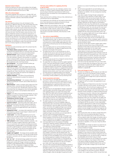#### **Deemed Contract Scheme**

Scheme for setting out the terms and conditions that will apply to the deemed contracts made under Schedule 6 to the Electricity Act 1989 and Schedule 2B of the Gas Act 1986.

#### **When the scheme begins**

This scheme originally came into force on 1 October 2001 and applies to electricity or gas (or both) we supply under a deemed contract to domestic customers, Micro Business and SME customers.

#### **The scheme**

We have made this scheme in line with Schedule 6 of the Electricity Act 1989 (the 'Electricity Code') and Schedule 2B of the Gas Act 1986 (the 'Gas Code'). These codes allow us to make changes (known as 'revisions') to this scheme from time to time. If we do make a revision, we will first send the full text of the revision to our industry regulator, after which time the revision will come into force. Once the revision comes into force, it will apply to all deemed contracts we create from that point on. It will also apply to any deemed contracts that already exist, unless the revision says otherwise. If we need to provide evidence of this scheme, any revisions to it, or the Deemed Contract Schedule of Charges (or any changes to it) in any courts of justice or any legal proceedings, we will produce a copy of any document we have sent to our industry regulator as conclusive evidence.

#### **Definitions**

The following words and phrases used in this contract have the following meanings.

- **'The Citizens Advice consumer service'** provides free, confidential and impartial advice on consumer issues, by phone and online, to individual consumers and small businesses.
- '**deemed contract**' means a contract to supply gas or electricity (or both), under these terms. These terms only apply if you are a domestic customer, micro business, or a small or medium enterprise (SME) customer, and using our electricity or gas services (or both) at your premises, without entering into a formal agreement with us for those services.
- **'gas transporter'** the company licensed to deliver gas through pipes to your premises.
- **'Green Deal charges'** means the charges that we must collect from you as part of the Government scheme for the collection of charges for energy efficiency measures through energy bills and 'Green Deal premises' means premises at which Green Deal charges are owed for the installation of energy efficiency measures.
- **'industry regulator'** the Office of Gas and Electricity Markets set up by Parliament to protect the interests of consumers.
- **'local electricity distributor'** the company which owns or operates the distribution network used to deliver electricity to your premises.
- **'Micro Business'**  means a company which meets one of the following criteria: consumes less than 293,000 kWh of gas a year, or consumes less than 100,000 kWh of electricity a year, or has fewer than ten employees (or their full-time equivalent) and an annual turnover or annual balance sheet total not exceeding *€*m
- **'Ofgem'** is the Office of Gas and Electricity Markets), set up by Parliament to protect the interests of energy customers. Their address is 9 Millbank, London, SW1P 3GE.
- **'Ombudsman Services: Energy'** is an independent body approved by Ofgem to investigate complaints. Visit: ombudsman-services.org/energy or call 0330 440 1624.
- **'payment method'**  payment by either direct debit, cash or cheque, pay as you go or any other method we determine.
- **'premises'** the premises (including any part of any land or building or structure) we supply electricity or gas (or both) to under this contract.
- **'prepayment meter'** an energy meter operating in a mode which requires a customer to pay charges in advance both for a traditional and/or Smart meter.
- • **'smart meter'** the meter and equipment we can use to measure how much gas or electricity (or both) you are using, without having to visit your home. A smart meter means you can also see how much gas or electricity you are using.
- **'SME customer'** (small or medium enterprise customer) any customer who takes a supply of electricity or gas (or both) from us in connection with a business (including any business involving letting, managing agent or accommodation services) and which we bill through our customer information system (CIS) or our SAP system. (If you are not sure whether you are billed through CIS or SAP, please phone our helpline on 0333 200 5103.)
- **'supply' and 'supplied'** the energy services provided under this contract (but not otherwise). This may also include services provided in connection with the supply of electricity or gas to the premises.
- **'we', 'us', 'our'** the licensed energy supplier for the services provided to you under this contract (that is, EDF Energy is a trading name used by EDF Energy Customers Ltd, Reg. No. 02228297 whose Registered Office is at 90 Whitfield Street, London, W1T 4EZ, incorporated in England and Wales, operating under the trading name of EDF Energy and using the supply IDs LOND, SEEB and SWEB).

#### **Full terms and conditions for supplying electricity or gas (or both)**

These terms apply to you if you are a domestic customer, micro business, or a small or medium enterprise (SME) customer, and you are using our electricity or gas services (or both) at your premises but have not entered into a formal agreement with us for those services.

Please read these terms carefully so that you fully understand your commitments and our responsibilities.

If we supply gas to your premises we may need to enforce other terms if your premises are not directly connected to the gas pipeline network operated by National Grid Gas.

**Note:** In these terms and conditions, when we refer to **'energy'** we mean gas or electricity (or both) we provide to domestic Micro Business or SME customers. When we refer to **'services'**, we mean gas, electricity, energy-related services and any other services we provide to domestic, Micro Business or SME customers.

#### **1 Your and our responsibilities**

- 1a This contract sets out our standard terms and conditions for supplying services under our deemed contract scheme. These terms and conditions apply to you only if you have not entered into a current energy-supply agreement with us (which can be enforced by law), but we are providing you with services.
- 1b EDF is the trading name we use for providing the services. In line with these terms, we agree to supply services at the premises for the length of this contract.
- 1c You agree that you own or use the premises (or will on the date that the services start) and that the premises are currently connected to a mains gas network or your local electricity distributor's distribution network, or both (as appropriate).
- 1d You agree to pay any part of our charges for services that are not currently part of a genuine dispute.
- You agree that, for as long as we are the supplier registered to your meter point administration number or meter point reference number (as applicable) as the supplier responsible for supplying energy to your premises, all energy that passes through your meter (or meters) or is supplied to the premises (or both) will be treated as having been supplied under our deemed contract scheme, even if you have a contract with any other person for supplying energy to your premises
- 1f You understand if you have a smart meter you will lose the functionality currently available to you by switching to EDF.

#### **2 Access to premises and meters**

- 2a You confirm that you are legally able to, and have permission to, allow us (or someone appointed by us) into the premises and have full access to your meter (or meters), including agreeing to us gaining remote access to your metering equipment, whenever we need to in line with these terms.
- 2b You agree that you are responsible for all pipes, equipment, wires and cables, and all other fittings used in connection with supplying energy on your side of the energy meter (your side of the meter starts at the point energy leaves your meter after the meter has measured it), and that you will make sure that they are kept in good working order and in safe condition at all times. Any energy losses that happen on your side of the meter are your responsibility.
- 2c You agree to give your gas transporter, your local electricity distributor or us (or our employees, agents or subcontractors) safe, full and free access to your premises, and all equipment, wires and cables, and all other fittings used in connection with supplying energy to your premises. If there are any obstructions that prevent us from gaining access to your premises, and all equipment, wires and cables, and all other fittings used in connection with supplying energy to your premises, you are responsible (at your own cost) for removing the obstruction:
- 2c1 whenever there is a possibility of danger or damage to any thing or property, or at any time we use our powers under an Act of Parliament (or any regulation or similar law made under it) relating to how we deliver or supply energy; and
- 2c2 at all reasonable times for the purposes of installing, maintaining, inspecting, testing or replacing any lines, pipes, wires, cables or any other equipment used in connection with delivering or measuring energy.
- 2d You confirm that the premises have, and that you are authorised to use, metering equipment installed which is capable of providing the information we need to work out your charges in connection with the relevant tariff. The metering equipment must meet relevant industry standards for safety, accuracy and reliability. If you are not sure whether the metering equipment installed at the premises meets these standards, you should contact us. If the premises do not have satisfactory metering equipment installed, we may increase your charges (see clause 3) or ask you to replace your meter, which may involve an extra charge.
- You must make sure that all metering equipment (whether it belongs to us or another person) on or at the premises is not damaged or stolen or lost. You must pay us any costs we may reasonably have to pay (either directly or indirectly) for replacing or repairing the metering equipment (including any call-out charges), unless the damage is caused by fair wear

and tear or as a result of something we have done or failed to do.

- 2f We will not be responsible for any fault relating to any meter or other fitting that we do not own or that has been provided on our behalf, or for any consequences resulting from that fault.
- 2g If you take a supply of energy through a prepayment meter, and you use an electronic or token meter, it is your responsibility to make sure you buy enough credit units. You must also keep and look after the plastic card, key or other charging device, keeping it clean, safe and free from damage, otherwise we may charge you for providing a replacement card or key. If you fail to do this, we may charge you any costs we may reasonably have to pay (either directly or indirectly) as a result. You must only use the most recent key or card (unless otherwise instructed by us) to charge your prepayment meter, otherwise your meter may not be updated with the correct pricing information which may result in you paying a higher price for your energy supply, or for your energy supply price for your energy supply prices changing.
- 2h If this contract (in relation to any service) ends, we can:
- 2h1 recover any energy meter we own or have leased; and 2h2 authorise any of our officers, employees, agents, contractors (or any other person we authorise) to enter your premises to remove all relevant meters. We will not use this right if another supplier agrees, before the date this contract ends, to buy or otherwise take possession of that meter on terms that make sure we receive
- appropriate compensation for the meter's value. 2i There may be times when we want to install, or appoint another person to install, any energy meter and any associated metering equipment at your premises so that we can improve the service we provide to you. If this is the case, you agree to allow us to do this, and to let us (or anyone we appoint) into the premises to install the meter and any associated metering equipment. We will try to give you reasonable notice before we visit your premises.
- 2j From time to time the information from your smart meter may not correctly reflect the energy you have used. In such circumstances, we reserve the right to apply the correct charges which will be applied to your smart meter or reflected in a separate bill.

#### **3 Prices and changes to terms**

- 3a The prices we charge you, and the ways you can make your payment, are set out in the Deemed Contract Schedule of Charges (see appendix 1 to this contract). The Deemed Contract Schedule of Charges forms a part of these terms and conditions.
- To work out the charges for energy we supply to you, we will apply the tariff we consider most appropriate to your type of meter.
- 3c We may change any of these terms at any time. If we make a change to the terms of this contract, we will do so by making a revision. We will continue to supply you after we have made this revision, in line with the revised terms.
- We may also make changes to the information shown in the Deemed Contract Schedule of Charges (including the prices we charge you) at any time. Unless you have a prepayment meter, any change will apply to energy we supply to you from the date we make that change. If you have a prepayment meter, your new charges may not apply until the next time you charge credit onto your meter or, if you have a token prepayment meter, until your meter has been reconfigured with the new prices. It is your responsibility to arrange an appointment to make sure your prepayment meter is correctly configured. Changes we make to the Deemed Contract Schedule of Charges are not classed as revisions, but any changes to the prices we charge you will be shown in the next bill we send to you after making the changes.
- 3e There may be times when we need to change these terms other than in the circumstances described in clause 3c above. We would need to do so if we have to act in line with any relevant matter that changes our business costs in a way that is beyond our reasonable control. For example, this could be a relevant change in the law, government instruction or regulation, or to any tax or duty that affects our businesses.
- 3f We will publish any change we make to our prices for any of the reasons given in clause 3d above in the Deemed Contract Schedule of Charges.
- 3g If you take any service other than the service we or your gas transporter or local electricity distributor provides as standard, or if you cause us or them to have to pay costs beyond those they would normally be charged to carry out our responsibilities to you, we have the right to charge you any reasonable costs we have to pay as a result.
- 3h If the method of payment you use changes (for any reason), the price we charge you may change to reflect this. Also, if we need to change any energy meter or associated equipment because the method of payment you use has changed, we may make a charge to you to cover these costs.
- 3i Any taxes, duty or levies on energy (including VAT) will apply to all our charges to the extent that they are applicable, or be charged on the work done to process, distribute, transport, sell or supply energy, whether we pay these taxes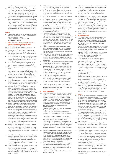and other charges direct or refund someone else who is responsible for making the payments.

- 3j You agree to pay for other charges which apply under this contract and under any extra conditions we have agreed with you from time to time which we include on your energy bill. You also agree to pay for other charges which arise in connection with Green Deal premises (such as Green Deal charges) and which we are obliged to collect from you.
- 3k Smart meters automatically send us your meter readings. It is your choice whether or not you would like to have a Smart meter installed at your property. By signing up to this tariff you agree to having a Smart meter fitted when we're installing them in your area, and to us contacting you to ask you to book an appointment for its installation. However, if you do not wish to have a Smart meter installed you may, at any time, inform us that you are opting out of having a Smart meter.

#### **Fuel Mix**

3l The electricity supplied under this contract will be a mix of generation sourced from our own UK power stations and the wholesale energy market. For more information on our fuel mix, visit **edfenergy.com/fuelmix**

#### **4 When this contract starts, your rights to end this contract and our rights to stop your supply**

- 4a This contract comes into force either<br>4a1 on the date we began to supply you
- 4a1 on the date we began to supply you (for any reason); or 4a2 on the date you began to take a supply from us.
- 4a2 on the date you began to take a supply from us.<br>4b This contract will end in the following circumstar This contract will end in the following circumstances.
- 4b1 If you enter into a formal energy-supply agreement with us or with another energy supplier (a 'new supplier'), the contract will end:
- a on the date the new supplier starts to supply that energy to you, as long as they are registered with the local metering point administration service as the supplier responsible for supplying energy to your premises; or
- b on the date you and we agree that your formal supply agreement is considered to have started, as long as you enter into a formal energy-supply agreement with us.
- 4b2 If you no longer own or occupy the premises, the contract will end:
- a on the date you stop owning or occupying the premises, as long as you have given us at least two working days' notice of this, in writing (in your notice, you should specify the date you will no longer own, rent or use the premises); or
- b two working days after we receive your notice, in writing, that you have stopped owning, renting or using the premises; or
- c on the date we next read the meter at the premises or on the date a new supplier begins to supply the premises, if you do not give us notice that you have stopped, or will soon stop, owning or occupying the premises.
- 4b3 In addition, and for the avoidance of doubt, where you, as an individual, are the owner of the premises and we have evidence to reasonably conclude that you continue to be present, or operating from the premises, then you shall be treated as remaining in occupation of the premises, irrespective of whether other individuals, businesses or companies are also in occupation during the same period. In accordance with Schedule 6 of the Electricity Act 1989 and Schedule [2B] of the Gas Act 1986, all occupiers shall at all times be fully liable for all charges associated with the supply of energy to the premises on a joint and several basis.
- 4b4 If this contract ends validly under any other term of this contract, or if you break a term of this contract and we disconnect the supply to your premises or end this contract.
- 4b5 If the industry regulator makes a 'Supplier of Last Resort' direction (when the regulator appoints another supplier to take over responsibility for our customers) or any other valid direction for your premises, and this direction appoints a supplier other than us to provide the services. You will still be legally responsible for paying our charges for providing the services – even if you no longer own, rent or use the premises – until this contract ends under this clause (4b). If we are providing you with more than one service, ending one service will not automatically end the contract for the other service (or services).
- 4b6 If this contract is in place because we've been appointed by the industry regulator to take over from your previous supplier as a 'Supplier of Last Resort' and you had a credit balance with them, we'll honour it if we committed to do so before we were appointed. We may need to get in touch to check certain information before we do.
- 4c When this contract ends , we will take all reasonable steps to send you a final bill or statement within 6 weeks. Where new information becomes available, we'll send you a corrected final bill as soon as reasonably practicable. We may need to get a final energy meter reading before we can do this otherwise we may need to bill you based on an estimated reading.
- 4d Unless this contract ends under clause 4b, this contract will continue to apply and you will still be legally responsible for paying all charges made under it until the contract ends, including any charges relating to power used by somebody else if you have failed to notify us that you no longer own or occupy the premises.
- 4e By taking a supply of energy under this contract, you are authorising us to suspend or stop the supply of energy to your premises in the following circumstances:
- 4e1 You do not pay any security deposit when we ask you to, or all or any part of our charges (that are not part of a genuine dispute) when they become due whether under these terms or otherwise.
- 4e2 You do not carry out any of your other responsibilities under this contract.
- 4e3 You break any of the terms of this contract in a serious way or more than once (for example, if we reasonably believe that you have stolen energy or deliberately interfered with an energy meter or with any part of the energy metering equipment).
- 4e4 We need to cut off your supply of energy in line with any of the energy industry arrangements we work to.
- 4e5 There is a risk of danger to you or other members of the public if we continue the supply.
- 4e6 You are declared bankrupt, an organisation or individual takes formal steps to have you declared bankrupt, or an organisation or individual begins or threatens any other form of insolvency proceedings against you. If, for any reason, we continue to supply you in these circumstances, we may need to fit a prepayment meter at your premises. You will pay the costs of this, which we may collect through the prepayment meter. This action will not affect any other rights we may have.
- 4e7 There are circumstances beyond our reasonable control which mean we are not able to perform our duties under this contract. These circumstances include anything any other energy supplier, distributor, shipper, or transporter has done or failed to do.
- 4e8 We are no longer involved in any of the industry agreements we work to, or the relevant industry agents used to collect and process meter information or to provide and maintain your meter are no longer appointed for each supply point at your premises.
- 4f Both you and we can end this contract immediately if we are no longer licensed to supply energy at your premises.
- 4g If this contract ends, or if we become entitled to suspend or stop the supply of energy to your premises under this clause (4), we will be entitled to take action (or appoint someone else to take action on our behalf) to prevent energy from being supplied to your premises under the contract or to disconnect your premises (or both). You agree to let us into your premises at all reasonable times to do this.
- 4h Ending your contract will not affect any rights and responsibilities you or we had before the contract ended, or any rights and responsibilities due to come into force or continue after the date it ended. Clauses 4c, 5.5, 5.6 and 5.7 continue to apply even after our supply licence has ended.
- 4i If you are responsible for paying Green Deal charges, your responsibility will continue after this contract has ended and your new supplier will collect your Green Deal charges when they take over supply to your premises.

#### **5 Billing and payment**<br>**5.1** Me will give you a bill

We will give you a bill or statement at least once a year, but we may send you a bill or statement at any time, or in line with your agreed payment method and communication preferences. We will charge you for your energy usage based on the amount of energy we reasonably consider that you have consumed (or which we estimate you have consumed in accordance with paragraph 5.2 below) for the period covered by your bill, up to a maximum period of twelve months except where the charges relate to circumstances where:

 a) we have previously taken steps to recover payment for charges which are older than this,

 b) we have not taken action to recover older charges because of any unreasonable act or omission on your part, or

 c) any other circumstance applies which our regulator confirms that we may seek to recover charges relating to consumption that is are older than twelve months. Where we don't have an up to date meter reading we will bill you based on an estimated reading using the information that we have available about your property, however to help us to improve the accuracy of your bills please provide us with an up to date and accurate meter reading at least once per year.

- 5.2 We have the right to estimate your usage if we don't have all the information we need (including the energy you have used during any period) to work out the charges you owe us. We'll estimate using information we have about the energy used at the premises. This may take into account adjustments to reflect seasonal changes in use and previous meter readings, or the characteristics of your home and household energy use, or price changes.
- 5.3 If your meter is not read immediately before the supply start date, or we reasonably believe that the reading we have is not accurate, we may estimate the amount of energy supplied during the period beginning with the supply start date and ending with either:

 (a) the date the meter is first correctly read after the date we start supplying you; or

(b) the date your contract with us ends; whichever is earlier.

- 5.4 5.4 We can charge you any reasonable costs and expenses we have to pay in carrying out our responsibilities to you. This includes any reasonable costs connected with distributors' services, recovering money you owe, and disconnecting, reconnecting or replacing any metering equipment.
- 5.5 We have the right to use or transfer any debts or credits you have on your energy account: (a) with a previous supplier to us; or (b) with us to a new supplier. Either of us can use credit you have on an account with us to pay off debt you owe us or our group companies.
- 5.6 If you're struggling, you can pay through deductions to social security you receive, by regular instalments or by using a prepayment meter (provided we consider this safe and practical). We'll also let you know how you can reduce your charges by using energy more efficiently.
- 5.7 We'll only take debt recovery actions which we consider to be proportionate.

#### **6 Making a complaint**

6.1 If we've let you down in any way, we want to put it right quickly. It's always best to get in touch with us first on 0333 200 5100 (Monday to Friday from 8am to 6pm and Saturday 8am to 2pm) email customer\_correspondence@ EDFEnergy.com or write to Freepost EDF CUSTOMER CORRESPONDENCE

Details of our complaint handling procedure can be obtained at edfenergy.com/makingacomplaint. If you're not satisfied with the way we've handled things after contacting us there are other options you can take.

You can contact the Complaints Resolution Team by calling 0333 200 5101 (8am to 5pm, Monday to Friday), email complaintresolution@edfenergy.com or write to: Freepost EDF COMPLAINTS RESOLUTION

6.2 If, after eight weeks, you're still not satisfied with the way we've handled your complaint, you can phone the Ombudsman Services: Energy on 0330 440 1624 (9am to 5pm Monday to Friday). Or, you can email them at enquiry@ombudsman-services.org or visit ombudsmanservices.org/energy. The Ombudsman is free, independent. If the Ombudsman finds we have not acted correctly, they will make recommendations on how we can put this right. This might include:

(a) an apology or explanation;

(b) compensation; or

(c) any other relevant action.

They may investigate your complaint if you are a residential or microbusiness customer and if you have received a deadlock letter from us or if you are unhappy with the handling of your complaint and eight weeks have passed since you first made the complaint to us.

6.3 Contact Citizens Advice if you need help with an energy problem - for example with your bills or meters, or if you're struggling to pay for the energy you use. They're the official source of free and independent energy advice and support. Go to citizensadvice.org.uk/energy or call them on 0808 223 1133. Calls are charged at your normal rate.

#### **7 Security**

- 7a We may, at any time (except in certain circumstances if you are supplied through a prepayment meter or if it is otherwise not reasonable), ask you for a reasonable deposit (or other form of security) towards the charges in connection with any services we provide to you. If we do this, we will agree with you any special terms we need to enforce relating to the deposit. If we cannot agree these special terms with you, or if you do not provide the security deposit, we may stop supplying the services after giving you reasonable notice. If we do this, clause 4g will apply.
- 7b The deposit we ask for will not be more than the amounts the conditions of our energy licences allow. Unless it is reasonable for us to keep a deposit for a longer period, we will repay it to you after a year, with interest at a rate set by the energy regulator. We will make this repayment:
- 7b1 within 14 days if, during the previous full year, you have paid all our bills or statements within 28 days of the date of each bill or statement; or
- 7b2 within a month if the arrangements to supply you with energy under this contract have ended and you have paid all our charges.
- 7c When we repay a deposit, we may take from it any money you owe us.
- 7d If we ask you to pay a deposit and you do not agree to this, or you do not agree with the amount we have asked for, or if you have a complaint about any of our services, you may contact our customer service centre. You may also refer your complaint to the Ombudsman Services: Energy which is an independent body approved by Ofgem, the UK gas and electricity regulator, to investigate complaints. Details of our complaint handling procedure can be found at edfenergy.com/sme-complaints

If you are a Micro Business you can also contact Citizens Advice consumer service (a free, confidential and impartial advice service for consumers) for clear, practical and unbiased advice on all kinds of questions relating to Micro Businesses.

You can visit their website adviceguide.org.uk or call them on 0808 223 1133.